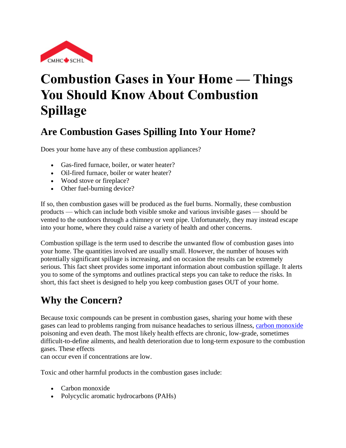

# **Combustion Gases in Your Home — Things You Should Know About Combustion Spillage**

# **Are Combustion Gases Spilling Into Your Home?**

Does your home have any of these combustion appliances?

- Gas-fired furnace, boiler, or water heater?
- Oil-fired furnace, boiler or water heater?
- Wood stove or fireplace?
- Other fuel-burning device?

If so, then combustion gases will be produced as the fuel burns. Normally, these combustion products — which can include both visible smoke and various invisible gases — should be vented to the outdoors through a chimney or vent pipe. Unfortunately, they may instead escape into your home, where they could raise a variety of health and other concerns.

Combustion spillage is the term used to describe the unwanted flow of combustion gases into your home. The quantities involved are usually small. However, the number of houses with potentially significant spillage is increasing, and on occasion the results can be extremely serious. This fact sheet provides some important information about combustion spillage. It alerts you to some of the symptoms and outlines practical steps you can take to reduce the risks. In short, this fact sheet is designed to help you keep combustion gases OUT of your home.

# **Why the Concern?**

Because toxic compounds can be present in combustion gases, sharing your home with these gases can lead to problems ranging from nuisance headaches to serious illness, [carbon monoxide](http://www.cmhc-schl.gc.ca/en/co/maho/yohoyohe/inaiqu/inaiqu_002.cfm) poisoning and even death. The most likely health effects are chronic, low-grade, sometimes difficult-to-define ailments, and health deterioration due to long-term exposure to the combustion gases. These effects

can occur even if concentrations are low.

Toxic and other harmful products in the combustion gases include:

- Carbon monoxide
- Polycyclic aromatic hydrocarbons (PAHs)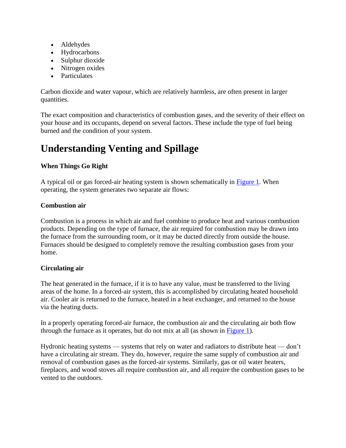- Aldehydes
- Hydrocarbons
- Sulphur dioxide
- Nitrogen oxides
- Particulates

Carbon dioxide and water vapour, which are relatively harmless, are often present in larger quantities.

The exact composition and characteristics of combustion gases, and the severity of their effect on your house and its occupants, depend on several factors. These include the type of fuel being burned and the condition of your system.

# **Understanding Venting and Spillage**

#### **When Things Go Right**

A typical oil or gas forced-air heating system is shown schematically in [Figure 1.](http://www.cmhc-schl.gc.ca/en/co/maho/yohoyohe/inaiqu/inaiqu_004.cfm#figure1) When operating, the system generates two separate air flows:

#### **Combustion air**

Combustion is a process in which air and fuel combine to produce heat and various combustion products. Depending on the type of furnace, the air required for combustion may be drawn into the furnace from the surrounding room, or it may be ducted directly from outside the house. Furnaces should be designed to completely remove the resulting combustion gases from your home.

#### **Circulating air**

The heat generated in the furnace, if it is to have any value, must be transferred to the living areas of the home. In a forced-air system, this is accomplished by circulating heated household air. Cooler air is returned to the furnace, heated in a heat exchanger, and returned to the house via the heating ducts.

In a properly operating forced-air furnace, the combustion air and the circulating air both flow through the furnace as it operates, but do not mix at all (as shown in [Figure 1\)](http://www.cmhc-schl.gc.ca/en/co/maho/yohoyohe/inaiqu/inaiqu_004.cfm#figure1).

Hydronic heating systems — systems that rely on water and radiators to distribute heat — don't have a circulating air stream. They do, however, require the same supply of combustion air and removal of combustion gases as the forced-air systems. Similarly, gas or oil water heaters, fireplaces, and wood stoves all require combustion air, and all require the combustion gases to be vented to the outdoors.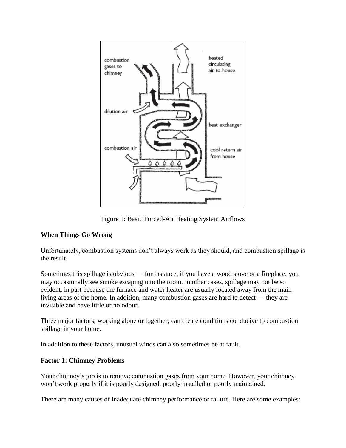

Figure 1: Basic Forced-Air Heating System Airflows

#### **When Things Go Wrong**

Unfortunately, combustion systems don't always work as they should, and combustion spillage is the result.

Sometimes this spillage is obvious — for instance, if you have a wood stove or a fireplace, you may occasionally see smoke escaping into the room. In other cases, spillage may not be so evident, in part because the furnace and water heater are usually located away from the main living areas of the home. In addition, many combustion gases are hard to detect — they are invisible and have little or no odour.

Three major factors, working alone or together, can create conditions conducive to combustion spillage in your home.

In addition to these factors, unusual winds can also sometimes be at fault.

#### **Factor 1: Chimney Problems**

Your chimney's job is to remove combustion gases from your home. However, your chimney won't work properly if it is poorly designed, poorly installed or poorly maintained.

There are many causes of inadequate chimney performance or failure. Here are some examples: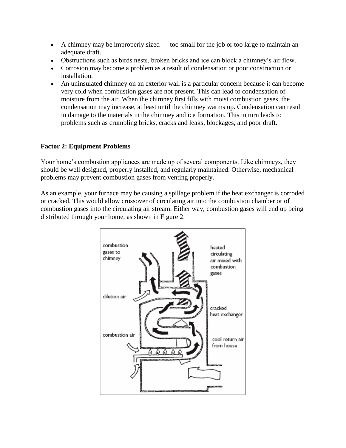- A chimney may be improperly sized too small for the job or too large to maintain an adequate draft.
- Obstructions such as birds nests, broken bricks and ice can block a chimney's air flow.
- Corrosion may become a problem as a result of condensation or poor construction or installation.
- An uninsulated chimney on an exterior wall is a particular concern because it can become very cold when combustion gases are not present. This can lead to condensation of moisture from the air. When the chimney first fills with moist combustion gases, the condensation may increase, at least until the chimney warms up. Condensation can result in damage to the materials in the chimney and ice formation. This in turn leads to problems such as crumbling bricks, cracks and leaks, blockages, and poor draft.

#### **Factor 2: Equipment Problems**

Your home's combustion appliances are made up of several components. Like chimneys, they should be well designed, properly installed, and regularly maintained. Otherwise, mechanical problems may prevent combustion gases from venting properly.

As an example, your furnace may be causing a spillage problem if the heat exchanger is corroded or cracked. This would allow crossover of circulating air into the combustion chamber or of combustion gases into the circulating air stream. Either way, combustion gases will end up being distributed through your home, as shown in Figure 2.

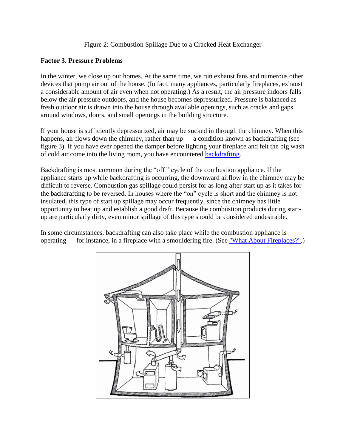#### Figure 2: Combustion Spillage Due to a Cracked Heat Exchanger

#### **Factor 3. Pressure Problems**

In the winter, we close up our homes. At the same time, we run exhaust fans and numerous other devices that pump air out of the house. (In fact, many appliances, particularly fireplaces, exhaust a considerable amount of air even when not operating.) As a result, the air pressure indoors falls below the air pressure outdoors, and the house becomes depressurized. Pressure is balanced as fresh outdoor air is drawn into the house through available openings, such as cracks and gaps around windows, doors, and small openings in the building structure.

If your house is sufficiently depressurized, air may be sucked in through the chimney. When this happens, air flows down the chimney, rather than up — a condition known as backdrafting (see figure 3). If you have ever opened the damper before lighting your fireplace and felt the big wash of cold air come into the living room, you have encountered [backdrafting.](http://www.cmhc-schl.gc.ca/en/co/maho/yohoyohe/inaiqu/inaiqu_004.cfm#figure3)

Backdrafting is most common during the "off " cycle of the combustion appliance. If the appliance starts up while backdrafting is occurring, the downward airflow in the chimney may be difficult to reverse. Combustion gas spillage could persist for as long after start up as it takes for the backdrafting to be reversed. In houses where the "on" cycle is short and the chimney is not insulated, this type of start up spillage may occur frequently, since the chimney has little opportunity to heat up and establish a good draft. Because the combustion products during startup are particularly dirty, even minor spillage of this type should be considered undesirable.

In some circumstances, backdrafting can also take place while the combustion appliance is operating — for instance, in a fireplace with a smouldering fire. (See ["What About Fireplaces?".](http://www.cmhc-schl.gc.ca/en/co/maho/yohoyohe/inaiqu/inaiqu_004.cfm#fireplace))

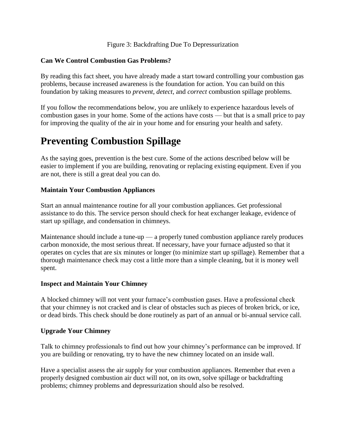#### Figure 3: Backdrafting Due To Depressurization

#### **Can We Control Combustion Gas Problems?**

By reading this fact sheet, you have already made a start toward controlling your combustion gas problems, because increased awareness is the foundation for action. You can build on this foundation by taking measures to *prevent*, *detect*, and *correct* combustion spillage problems.

If you follow the recommendations below, you are unlikely to experience hazardous levels of combustion gases in your home. Some of the actions have costs — but that is a small price to pay for improving the quality of the air in your home and for ensuring your health and safety.

### **Preventing Combustion Spillage**

As the saying goes, prevention is the best cure. Some of the actions described below will be easier to implement if you are building, renovating or replacing existing equipment. Even if you are not, there is still a great deal you can do.

#### **Maintain Your Combustion Appliances**

Start an annual maintenance routine for all your combustion appliances. Get professional assistance to do this. The service person should check for heat exchanger leakage, evidence of start up spillage, and condensation in chimneys.

Maintenance should include a tune-up — a properly tuned combustion appliance rarely produces carbon monoxide, the most serious threat. If necessary, have your furnace adjusted so that it operates on cycles that are six minutes or longer (to minimize start up spillage). Remember that a thorough maintenance check may cost a little more than a simple cleaning, but it is money well spent.

#### **Inspect and Maintain Your Chimney**

A blocked chimney will not vent your furnace's combustion gases. Have a professional check that your chimney is not cracked and is clear of obstacles such as pieces of broken brick, or ice, or dead birds. This check should be done routinely as part of an annual or bi-annual service call.

#### **Upgrade Your Chimney**

Talk to chimney professionals to find out how your chimney's performance can be improved. If you are building or renovating, try to have the new chimney located on an inside wall.

Have a specialist assess the air supply for your combustion appliances. Remember that even a properly designed combustion air duct will not, on its own, solve spillage or backdrafting problems; chimney problems and depressurization should also be resolved.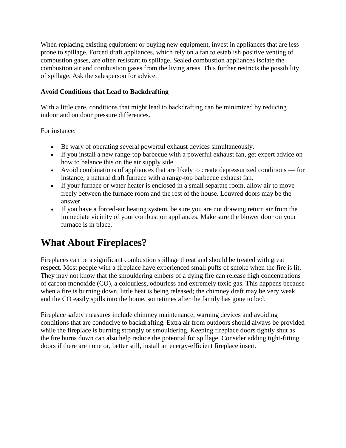When replacing existing equipment or buying new equipment, invest in appliances that are less prone to spillage. Forced draft appliances, which rely on a fan to establish positive venting of combustion gases, are often resistant to spillage. Sealed combustion appliances isolate the combustion air and combustion gases from the living areas. This further restricts the possibility of spillage. Ask the salesperson for advice.

#### **Avoid Conditions that Lead to Backdrafting**

With a little care, conditions that might lead to backdrafting can be minimized by reducing indoor and outdoor pressure differences.

For instance:

- Be wary of operating several powerful exhaust devices simultaneously.
- If you install a new range-top barbecue with a powerful exhaust fan, get expert advice on how to balance this on the air supply side.
- Avoid combinations of appliances that are likely to create depressurized conditions for instance, a natural draft furnace with a range-top barbecue exhaust fan.
- If your furnace or water heater is enclosed in a small separate room, allow air to move freely between the furnace room and the rest of the house. Louvred doors may be the answer.
- If you have a forced-air heating system, be sure you are not drawing return air from the immediate vicinity of your combustion appliances. Make sure the blower door on your furnace is in place.

# **What About Fireplaces?**

Fireplaces can be a significant combustion spillage threat and should be treated with great respect. Most people with a fireplace have experienced small puffs of smoke when the fire is lit. They may not know that the smouldering embers of a dying fire can release high concentrations of carbon monoxide (CO), a colourless, odourless and extremely toxic gas. This happens because when a fire is burning down, little heat is being released; the chimney draft may be very weak and the CO easily spills into the home, sometimes after the family has gone to bed.

Fireplace safety measures include chimney maintenance, warning devices and avoiding conditions that are conducive to backdrafting. Extra air from outdoors should always be provided while the fireplace is burning strongly or smouldering. Keeping fireplace doors tightly shut as the fire burns down can also help reduce the potential for spillage. Consider adding tight-fitting doors if there are none or, better still, install an energy-efficient fireplace insert.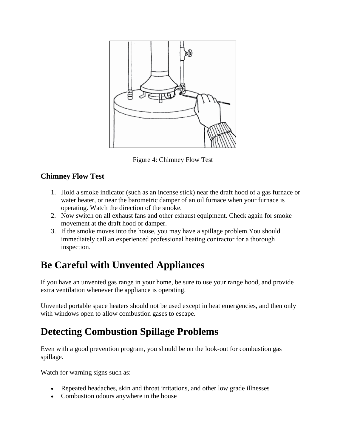

Figure 4: Chimney Flow Test

#### **Chimney Flow Test**

- 1. Hold a smoke indicator (such as an incense stick) near the draft hood of a gas furnace or water heater, or near the barometric damper of an oil furnace when your furnace is operating. Watch the direction of the smoke.
- 2. Now switch on all exhaust fans and other exhaust equipment. Check again for smoke movement at the draft hood or damper.
- 3. If the smoke moves into the house, you may have a spillage problem.You should immediately call an experienced professional heating contractor for a thorough inspection.

# **Be Careful with Unvented Appliances**

If you have an unvented gas range in your home, be sure to use your range hood, and provide extra ventilation whenever the appliance is operating.

Unvented portable space heaters should not be used except in heat emergencies, and then only with windows open to allow combustion gases to escape.

# **Detecting Combustion Spillage Problems**

Even with a good prevention program, you should be on the look-out for combustion gas spillage.

Watch for warning signs such as:

- Repeated headaches, skin and throat irritations, and other low grade illnesses
- Combustion odours anywhere in the house